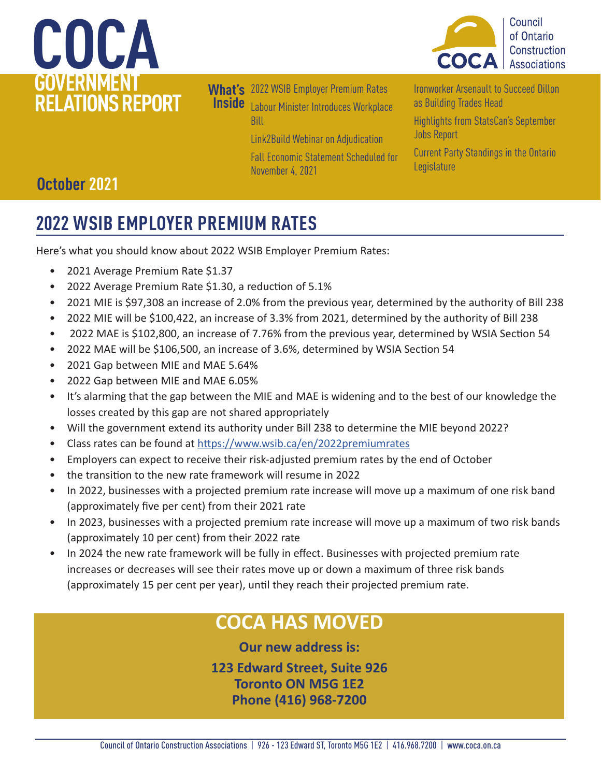



**What's**  2022 WSIB Employer Premium Rates **Inside** [Labour Minister Introduces Workplace](#page-1-0)  **Bill** [Link2Build Webinar on Adjudication](#page-2-0) 

[Fall Economic Statement Scheduled for](#page-2-0)  [November 4, 2021](#page-2-0) 

[Ironworker Arsenault to Succeed Dillon](#page-3-0)  [as Building Trades Head](#page-3-0) 

[Highlights from StatsCan's September](#page-3-0)  [Jobs Report](#page-3-0) 

[Current Party Standings in the Ontario](#page-4-0)  [Legislature](#page-4-0) 

## **October 2021**

## **2022 WSIB EMPLOYER PREMIUM RATES**

Here's what you should know about 2022 WSIB Employer Premium Rates:

- 2021 Average Premium Rate \$1.37
- 2022 Average Premium Rate \$1.30, a reduction of 5.1%
- 2021 MIE is \$97,308 an increase of 2.0% from the previous year, determined by the authority of Bill 238
- 2022 MIE will be \$100,422, an increase of 3.3% from 2021, determined by the authority of Bill 238
- 2022 MAE is \$102,800, an increase of 7.76% from the previous year, determined by WSIA Section 54
- 2022 MAE will be \$106,500, an increase of 3.6%, determined by WSIA Section 54
- 2021 Gap between MIE and MAE 5.64%
- 2022 Gap between MIE and MAE 6.05%
- It's alarming that the gap between the MIE and MAE is widening and to the best of our knowledge the losses created by this gap are not shared appropriately
- Will the government extend its authority under Bill 238 to determine the MIE beyond 2022?
- Class rates can be found at<https://www.wsib.ca/en/2022premiumrates>
- Employers can expect to receive their risk-adjusted premium rates by the end of October
- the transition to the new rate framework will resume in 2022
- In 2022, businesses with a projected premium rate increase will move up a maximum of one risk band (approximately five per cent) from their 2021 rate
- In 2023, businesses with a projected premium rate increase will move up a maximum of two risk bands (approximately 10 per cent) from their 2022 rate
- In 2024 the new rate framework will be fully in effect. Businesses with projected premium rate increases or decreases will see their rates move up or down a maximum of three risk bands (approximately 15 per cent per year), until they reach their projected premium rate.

## **COCA HAS MOVED**

**Our new address is: 123 Edward Street, Suite 926**

**Toronto ON M5G 1E2 Phone (416) 968-7200**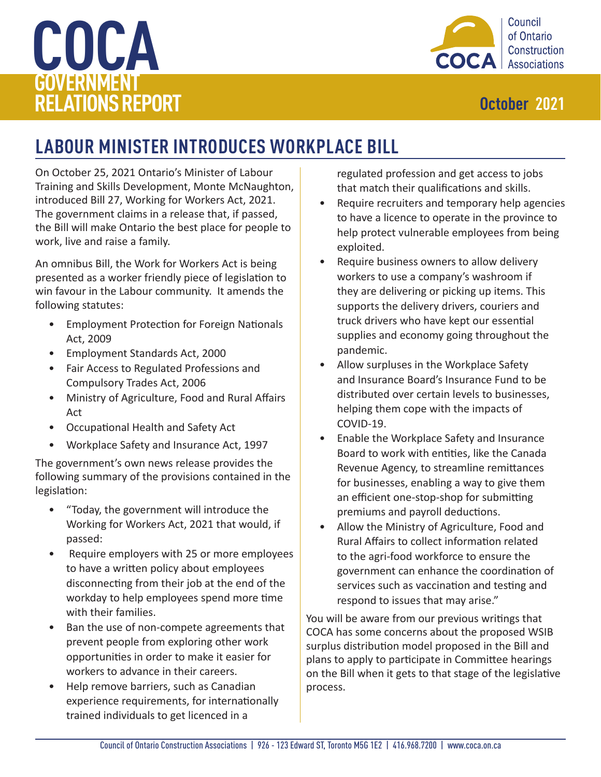# <span id="page-1-0"></span>**COCA GOVERNMENT RELATIONS REPORT** *October 2021*



## **LABOUR MINISTER INTRODUCES WORKPLACE BILL**

On October 25, 2021 Ontario's Minister of Labour Training and Skills Development, Monte McNaughton, introduced Bill 27, Working for Workers Act, 2021. The government claims in a release that, if passed, the Bill will make Ontario the best place for people to work, live and raise a family.

An omnibus Bill, the Work for Workers Act is being presented as a worker friendly piece of legislation to win favour in the Labour community. It amends the following statutes:

- Employment Protection for Foreign Nationals Act, 2009
- Employment Standards Act, 2000
- Fair Access to Regulated Professions and Compulsory Trades Act, 2006
- Ministry of Agriculture, Food and Rural Affairs Act
- Occupational Health and Safety Act
- Workplace Safety and Insurance Act, 1997

The government's own news release provides the following summary of the provisions contained in the legislation:

- "Today, the government will introduce the Working for Workers Act, 2021 that would, if passed:
- Require employers with 25 or more employees to have a written policy about employees disconnecting from their job at the end of the workday to help employees spend more time with their families.
- Ban the use of non-compete agreements that prevent people from exploring other work opportunities in order to make it easier for workers to advance in their careers.
- Help remove barriers, such as Canadian experience requirements, for internationally trained individuals to get licenced in a

regulated profession and get access to jobs that match their qualifications and skills.

- Require recruiters and temporary help agencies to have a licence to operate in the province to help protect vulnerable employees from being exploited.
- Require business owners to allow delivery workers to use a company's washroom if they are delivering or picking up items. This supports the delivery drivers, couriers and truck drivers who have kept our essential supplies and economy going throughout the pandemic.
- Allow surpluses in the Workplace Safety and Insurance Board's Insurance Fund to be distributed over certain levels to businesses, helping them cope with the impacts of COVID-19.
- Enable the Workplace Safety and Insurance Board to work with entities, like the Canada Revenue Agency, to streamline remittances for businesses, enabling a way to give them an efficient one-stop-shop for submitting premiums and payroll deductions.
- Allow the Ministry of Agriculture, Food and Rural Affairs to collect information related to the agri-food workforce to ensure the government can enhance the coordination of services such as vaccination and testing and respond to issues that may arise."

You will be aware from our previous writings that COCA has some concerns about the proposed WSIB surplus distribution model proposed in the Bill and plans to apply to participate in Committee hearings on the Bill when it gets to that stage of the legislative process.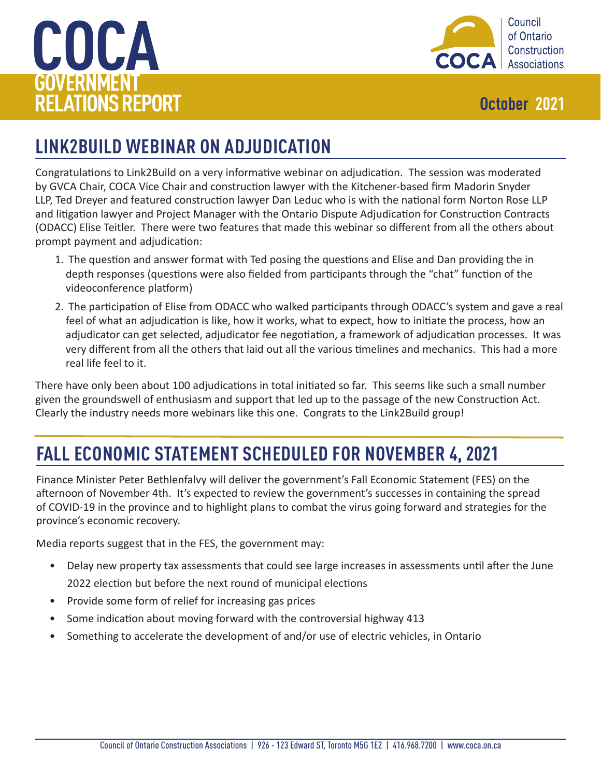<span id="page-2-0"></span>



## **LINK2BUILD WEBINAR ON ADJUDICATION**

Congratulations to Link2Build on a very informative webinar on adjudication. The session was moderated by GVCA Chair, COCA Vice Chair and construction lawyer with the Kitchener-based firm Madorin Snyder LLP, Ted Dreyer and featured construction lawyer Dan Leduc who is with the national form Norton Rose LLP and litigation lawyer and Project Manager with the Ontario Dispute Adjudication for Construction Contracts (ODACC) Elise Teitler. There were two features that made this webinar so different from all the others about prompt payment and adjudication:

- 1. The question and answer format with Ted posing the questions and Elise and Dan providing the in depth responses (questions were also fielded from participants through the "chat" function of the videoconference platform)
- 2. The participation of Elise from ODACC who walked participants through ODACC's system and gave a real feel of what an adjudication is like, how it works, what to expect, how to initiate the process, how an adjudicator can get selected, adjudicator fee negotiation, a framework of adjudication processes. It was very different from all the others that laid out all the various timelines and mechanics. This had a more real life feel to it.

There have only been about 100 adjudications in total initiated so far. This seems like such a small number given the groundswell of enthusiasm and support that led up to the passage of the new Construction Act. Clearly the industry needs more webinars like this one. Congrats to the Link2Build group!

## **FALL ECONOMIC STATEMENT SCHEDULED FOR NOVEMBER 4, 2021**

Finance Minister Peter Bethlenfalvy will deliver the government's Fall Economic Statement (FES) on the afternoon of November 4th. It's expected to review the government's successes in containing the spread of COVID-19 in the province and to highlight plans to combat the virus going forward and strategies for the province's economic recovery.

Media reports suggest that in the FES, the government may:

- Delay new property tax assessments that could see large increases in assessments until after the June 2022 election but before the next round of municipal elections
- Provide some form of relief for increasing gas prices
- Some indication about moving forward with the controversial highway 413
- Something to accelerate the development of and/or use of electric vehicles, in Ontario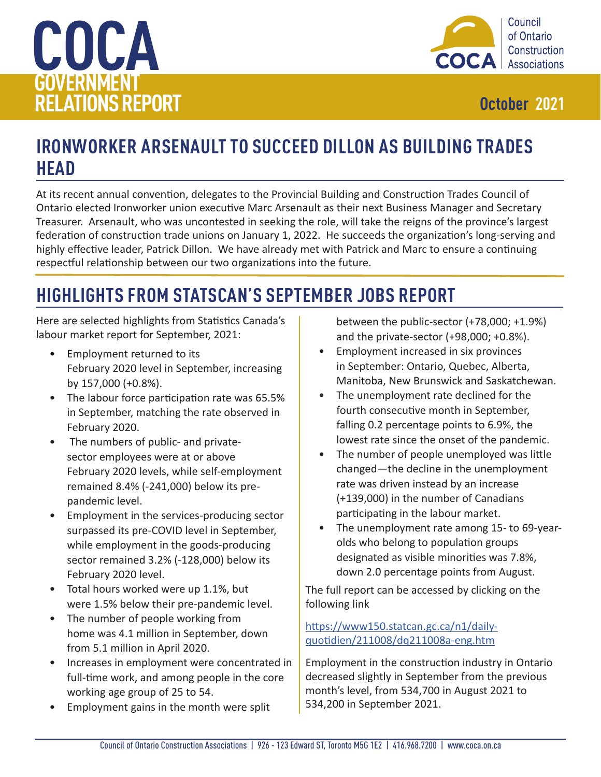<span id="page-3-0"></span>



## **IRONWORKER ARSENAULT TO SUCCEED DILLON AS BUILDING TRADES HEAD**

At its recent annual convention, delegates to the Provincial Building and Construction Trades Council of Ontario elected Ironworker union executive Marc Arsenault as their next Business Manager and Secretary Treasurer. Arsenault, who was uncontested in seeking the role, will take the reigns of the province's largest federation of construction trade unions on January 1, 2022. He succeeds the organization's long-serving and highly effective leader, Patrick Dillon. We have already met with Patrick and Marc to ensure a continuing respectful relationship between our two organizations into the future.

## **HIGHLIGHTS FROM STATSCAN'S SEPTEMBER JOBS REPORT**

Here are selected highlights from Statistics Canada's labour market report for September, 2021:

- Employment returned to its February 2020 level in September, increasing by 157,000 (+0.8%).
- The labour force participation rate was 65.5% in September, matching the rate observed in February 2020.
- The numbers of public- and privatesector employees were at or above February 2020 levels, while self-employment remained 8.4% (-241,000) below its prepandemic level.
- Employment in the services-producing sector surpassed its pre-COVID level in September, while employment in the goods-producing sector remained 3.2% (-128,000) below its February 2020 level.
- Total hours worked were up 1.1%, but were 1.5% below their pre-pandemic level.
- The number of people working from home was 4.1 million in September, down from 5.1 million in April 2020.
- Increases in employment were concentrated in full-time work, and among people in the core working age group of 25 to 54.
- Employment gains in the month were split

between the public-sector (+78,000; +1.9%) and the private-sector (+98,000; +0.8%).

- Employment increased in six provinces in September: Ontario, Quebec, Alberta, Manitoba, New Brunswick and Saskatchewan.
- The unemployment rate declined for the fourth consecutive month in September, falling 0.2 percentage points to 6.9%, the lowest rate since the onset of the pandemic.
- The number of people unemployed was little changed—the decline in the unemployment rate was driven instead by an increase (+139,000) in the number of Canadians participating in the labour market.
- The unemployment rate among 15- to 69-yearolds who belong to population groups designated as visible minorities was 7.8%, down 2.0 percentage points from August.

The full report can be accessed by clicking on the following link

### [https://www150.statcan.gc.ca/n1/daily](https://www150.statcan.gc.ca/n1/daily-quotidien/211008/dq211008a-eng.htm)[quotidien/211008/dq211008a-eng.htm](https://www150.statcan.gc.ca/n1/daily-quotidien/211008/dq211008a-eng.htm)

Employment in the construction industry in Ontario decreased slightly in September from the previous month's level, from 534,700 in August 2021 to 534,200 in September 2021.